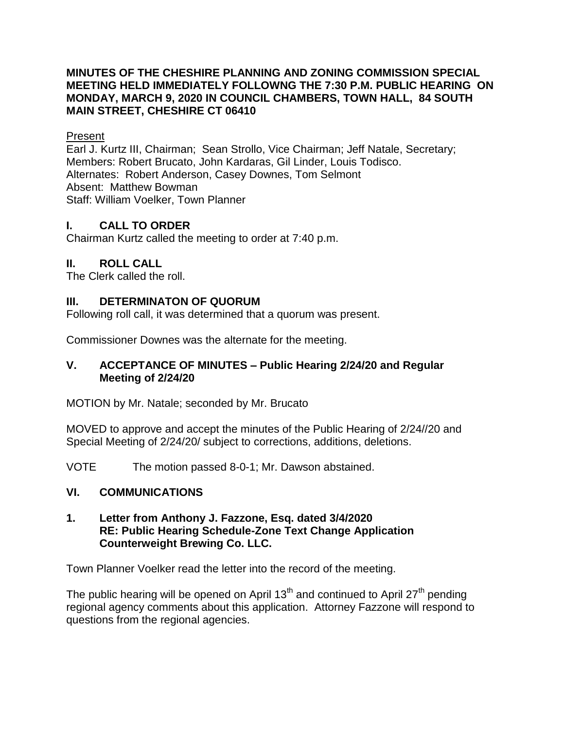## **MINUTES OF THE CHESHIRE PLANNING AND ZONING COMMISSION SPECIAL MEETING HELD IMMEDIATELY FOLLOWNG THE 7:30 P.M. PUBLIC HEARING ON MONDAY, MARCH 9, 2020 IN COUNCIL CHAMBERS, TOWN HALL, 84 SOUTH MAIN STREET, CHESHIRE CT 06410**

## Present

Earl J. Kurtz III, Chairman; Sean Strollo, Vice Chairman; Jeff Natale, Secretary; Members: Robert Brucato, John Kardaras, Gil Linder, Louis Todisco. Alternates: Robert Anderson, Casey Downes, Tom Selmont Absent: Matthew Bowman Staff: William Voelker, Town Planner

# **I. CALL TO ORDER**

Chairman Kurtz called the meeting to order at 7:40 p.m.

# **II. ROLL CALL**

The Clerk called the roll.

# **III. DETERMINATON OF QUORUM**

Following roll call, it was determined that a quorum was present.

Commissioner Downes was the alternate for the meeting.

## **V. ACCEPTANCE OF MINUTES – Public Hearing 2/24/20 and Regular Meeting of 2/24/20**

MOTION by Mr. Natale; seconded by Mr. Brucato

MOVED to approve and accept the minutes of the Public Hearing of 2/24//20 and Special Meeting of 2/24/20/ subject to corrections, additions, deletions.

VOTE The motion passed 8-0-1; Mr. Dawson abstained.

# **VI. COMMUNICATIONS**

## **1. Letter from Anthony J. Fazzone, Esq. dated 3/4/2020 RE: Public Hearing Schedule-Zone Text Change Application Counterweight Brewing Co. LLC.**

Town Planner Voelker read the letter into the record of the meeting.

The public hearing will be opened on April 13<sup>th</sup> and continued to April 27<sup>th</sup> pending regional agency comments about this application. Attorney Fazzone will respond to questions from the regional agencies.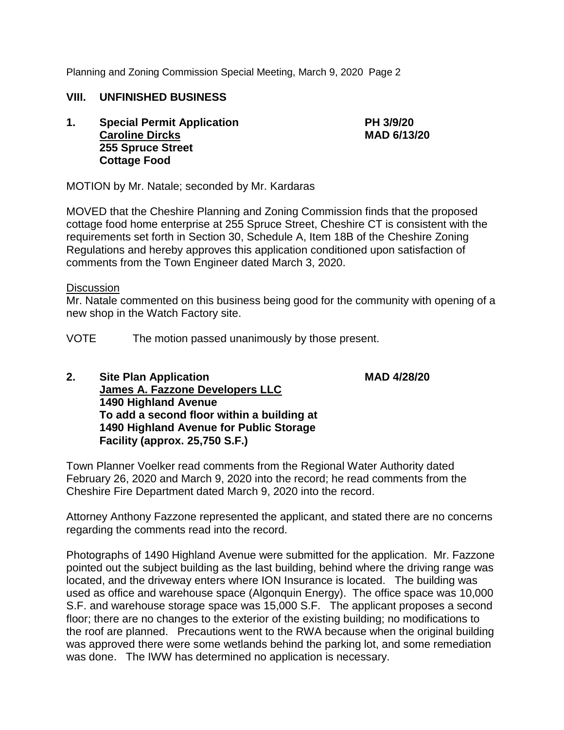## **VIII. UNFINISHED BUSINESS**

**1. Special Permit Application PH 3/9/20 Caroline Dircks MAD 6/13/20 255 Spruce Street Cottage Food**

MOTION by Mr. Natale; seconded by Mr. Kardaras

MOVED that the Cheshire Planning and Zoning Commission finds that the proposed cottage food home enterprise at 255 Spruce Street, Cheshire CT is consistent with the requirements set forth in Section 30, Schedule A, Item 18B of the Cheshire Zoning Regulations and hereby approves this application conditioned upon satisfaction of comments from the Town Engineer dated March 3, 2020.

#### **Discussion**

Mr. Natale commented on this business being good for the community with opening of a new shop in the Watch Factory site.

VOTE The motion passed unanimously by those present.

**2. Site Plan Application MAD 4/28/20 James A. Fazzone Developers LLC 1490 Highland Avenue To add a second floor within a building at 1490 Highland Avenue for Public Storage Facility (approx. 25,750 S.F.)**

Town Planner Voelker read comments from the Regional Water Authority dated February 26, 2020 and March 9, 2020 into the record; he read comments from the Cheshire Fire Department dated March 9, 2020 into the record.

Attorney Anthony Fazzone represented the applicant, and stated there are no concerns regarding the comments read into the record.

Photographs of 1490 Highland Avenue were submitted for the application. Mr. Fazzone pointed out the subject building as the last building, behind where the driving range was located, and the driveway enters where ION Insurance is located. The building was used as office and warehouse space (Algonquin Energy). The office space was 10,000 S.F. and warehouse storage space was 15,000 S.F. The applicant proposes a second floor; there are no changes to the exterior of the existing building; no modifications to the roof are planned. Precautions went to the RWA because when the original building was approved there were some wetlands behind the parking lot, and some remediation was done. The IWW has determined no application is necessary.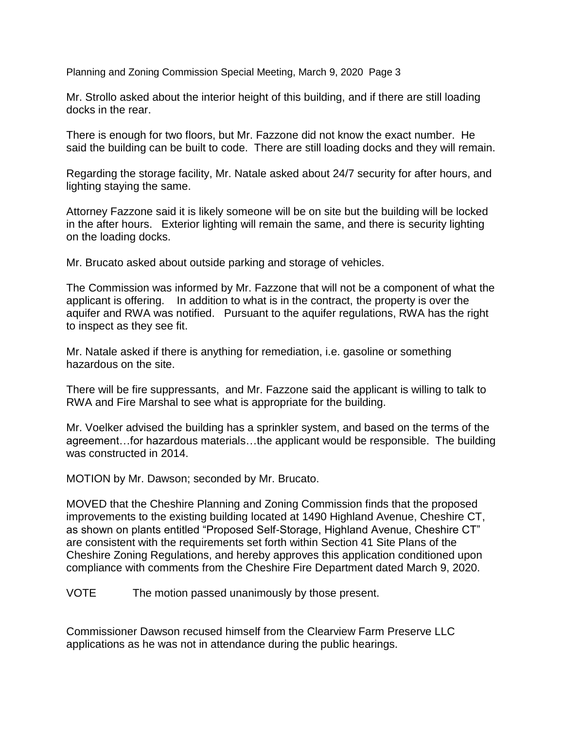Mr. Strollo asked about the interior height of this building, and if there are still loading docks in the rear.

There is enough for two floors, but Mr. Fazzone did not know the exact number. He said the building can be built to code. There are still loading docks and they will remain.

Regarding the storage facility, Mr. Natale asked about 24/7 security for after hours, and lighting staying the same.

Attorney Fazzone said it is likely someone will be on site but the building will be locked in the after hours. Exterior lighting will remain the same, and there is security lighting on the loading docks.

Mr. Brucato asked about outside parking and storage of vehicles.

The Commission was informed by Mr. Fazzone that will not be a component of what the applicant is offering. In addition to what is in the contract, the property is over the aquifer and RWA was notified. Pursuant to the aquifer regulations, RWA has the right to inspect as they see fit.

Mr. Natale asked if there is anything for remediation, i.e. gasoline or something hazardous on the site.

There will be fire suppressants, and Mr. Fazzone said the applicant is willing to talk to RWA and Fire Marshal to see what is appropriate for the building.

Mr. Voelker advised the building has a sprinkler system, and based on the terms of the agreement…for hazardous materials…the applicant would be responsible. The building was constructed in 2014.

MOTION by Mr. Dawson; seconded by Mr. Brucato.

MOVED that the Cheshire Planning and Zoning Commission finds that the proposed improvements to the existing building located at 1490 Highland Avenue, Cheshire CT, as shown on plants entitled "Proposed Self-Storage, Highland Avenue, Cheshire CT" are consistent with the requirements set forth within Section 41 Site Plans of the Cheshire Zoning Regulations, and hereby approves this application conditioned upon compliance with comments from the Cheshire Fire Department dated March 9, 2020.

VOTE The motion passed unanimously by those present.

Commissioner Dawson recused himself from the Clearview Farm Preserve LLC applications as he was not in attendance during the public hearings.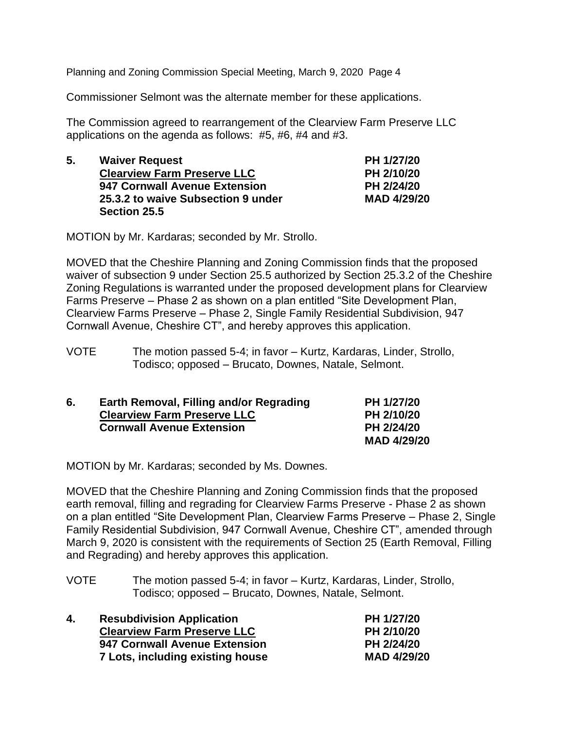Commissioner Selmont was the alternate member for these applications.

The Commission agreed to rearrangement of the Clearview Farm Preserve LLC applications on the agenda as follows: #5, #6, #4 and #3.

| 5. | <b>Waiver Request</b>              | PH 1/27/20  |
|----|------------------------------------|-------------|
|    | <b>Clearview Farm Preserve LLC</b> | PH 2/10/20  |
|    | 947 Cornwall Avenue Extension      | PH 2/24/20  |
|    | 25.3.2 to waive Subsection 9 under | MAD 4/29/20 |
|    | Section 25.5                       |             |

MOTION by Mr. Kardaras; seconded by Mr. Strollo.

MOVED that the Cheshire Planning and Zoning Commission finds that the proposed waiver of subsection 9 under Section 25.5 authorized by Section 25.3.2 of the Cheshire Zoning Regulations is warranted under the proposed development plans for Clearview Farms Preserve – Phase 2 as shown on a plan entitled "Site Development Plan, Clearview Farms Preserve – Phase 2, Single Family Residential Subdivision, 947 Cornwall Avenue, Cheshire CT", and hereby approves this application.

VOTE The motion passed 5-4; in favor – Kurtz, Kardaras, Linder, Strollo, Todisco; opposed – Brucato, Downes, Natale, Selmont.

| 6. | Earth Removal, Filling and/or Regrading | PH 1/27/20  |
|----|-----------------------------------------|-------------|
|    | <b>Clearview Farm Preserve LLC</b>      | PH 2/10/20  |
|    | <b>Cornwall Avenue Extension</b>        | PH 2/24/20  |
|    |                                         | MAD 4/29/20 |

MOTION by Mr. Kardaras; seconded by Ms. Downes.

MOVED that the Cheshire Planning and Zoning Commission finds that the proposed earth removal, filling and regrading for Clearview Farms Preserve - Phase 2 as shown on a plan entitled "Site Development Plan, Clearview Farms Preserve – Phase 2, Single Family Residential Subdivision, 947 Cornwall Avenue, Cheshire CT", amended through March 9, 2020 is consistent with the requirements of Section 25 (Earth Removal, Filling and Regrading) and hereby approves this application.

VOTE The motion passed 5-4; in favor – Kurtz, Kardaras, Linder, Strollo, Todisco; opposed – Brucato, Downes, Natale, Selmont.

| 4. | <b>Resubdivision Application</b>   | PH 1/27/20  |
|----|------------------------------------|-------------|
|    | <b>Clearview Farm Preserve LLC</b> | PH 2/10/20  |
|    | 947 Cornwall Avenue Extension      | PH 2/24/20  |
|    | 7 Lots, including existing house   | MAD 4/29/20 |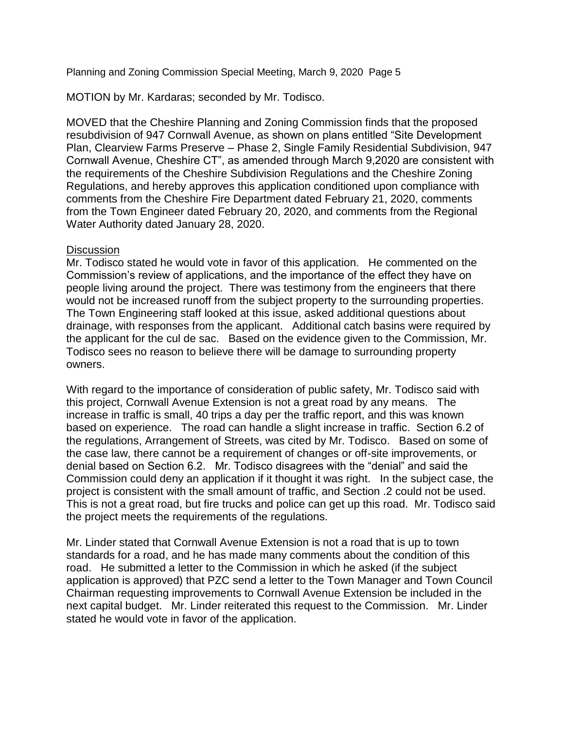MOTION by Mr. Kardaras; seconded by Mr. Todisco.

MOVED that the Cheshire Planning and Zoning Commission finds that the proposed resubdivision of 947 Cornwall Avenue, as shown on plans entitled "Site Development Plan, Clearview Farms Preserve – Phase 2, Single Family Residential Subdivision, 947 Cornwall Avenue, Cheshire CT", as amended through March 9,2020 are consistent with the requirements of the Cheshire Subdivision Regulations and the Cheshire Zoning Regulations, and hereby approves this application conditioned upon compliance with comments from the Cheshire Fire Department dated February 21, 2020, comments from the Town Engineer dated February 20, 2020, and comments from the Regional Water Authority dated January 28, 2020.

#### **Discussion**

Mr. Todisco stated he would vote in favor of this application. He commented on the Commission's review of applications, and the importance of the effect they have on people living around the project. There was testimony from the engineers that there would not be increased runoff from the subject property to the surrounding properties. The Town Engineering staff looked at this issue, asked additional questions about drainage, with responses from the applicant. Additional catch basins were required by the applicant for the cul de sac. Based on the evidence given to the Commission, Mr. Todisco sees no reason to believe there will be damage to surrounding property owners.

With regard to the importance of consideration of public safety, Mr. Todisco said with this project, Cornwall Avenue Extension is not a great road by any means. The increase in traffic is small, 40 trips a day per the traffic report, and this was known based on experience. The road can handle a slight increase in traffic. Section 6.2 of the regulations, Arrangement of Streets, was cited by Mr. Todisco. Based on some of the case law, there cannot be a requirement of changes or off-site improvements, or denial based on Section 6.2. Mr. Todisco disagrees with the "denial" and said the Commission could deny an application if it thought it was right. In the subject case, the project is consistent with the small amount of traffic, and Section .2 could not be used. This is not a great road, but fire trucks and police can get up this road. Mr. Todisco said the project meets the requirements of the regulations.

Mr. Linder stated that Cornwall Avenue Extension is not a road that is up to town standards for a road, and he has made many comments about the condition of this road. He submitted a letter to the Commission in which he asked (if the subject application is approved) that PZC send a letter to the Town Manager and Town Council Chairman requesting improvements to Cornwall Avenue Extension be included in the next capital budget. Mr. Linder reiterated this request to the Commission. Mr. Linder stated he would vote in favor of the application.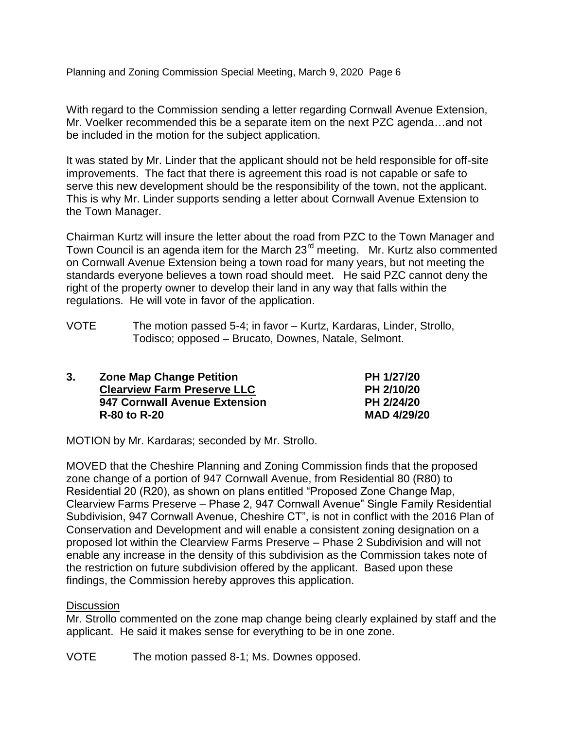With regard to the Commission sending a letter regarding Cornwall Avenue Extension, Mr. Voelker recommended this be a separate item on the next PZC agenda…and not be included in the motion for the subject application.

It was stated by Mr. Linder that the applicant should not be held responsible for off-site improvements. The fact that there is agreement this road is not capable or safe to serve this new development should be the responsibility of the town, not the applicant. This is why Mr. Linder supports sending a letter about Cornwall Avenue Extension to the Town Manager.

Chairman Kurtz will insure the letter about the road from PZC to the Town Manager and Town Council is an agenda item for the March 23<sup>rd</sup> meeting. Mr. Kurtz also commented on Cornwall Avenue Extension being a town road for many years, but not meeting the standards everyone believes a town road should meet. He said PZC cannot deny the right of the property owner to develop their land in any way that falls within the regulations. He will vote in favor of the application.

VOTE The motion passed 5-4; in favor – Kurtz, Kardaras, Linder, Strollo, Todisco; opposed – Brucato, Downes, Natale, Selmont.

| 3. | <b>Zone Map Change Petition</b>    | PH 1/27/20  |
|----|------------------------------------|-------------|
|    | <b>Clearview Farm Preserve LLC</b> | PH 2/10/20  |
|    | 947 Cornwall Avenue Extension      | PH 2/24/20  |
|    | <b>R-80 to R-20</b>                | MAD 4/29/20 |

MOTION by Mr. Kardaras; seconded by Mr. Strollo.

MOVED that the Cheshire Planning and Zoning Commission finds that the proposed zone change of a portion of 947 Cornwall Avenue, from Residential 80 (R80) to Residential 20 (R20), as shown on plans entitled "Proposed Zone Change Map, Clearview Farms Preserve – Phase 2, 947 Cornwall Avenue" Single Family Residential Subdivision, 947 Cornwall Avenue, Cheshire CT", is not in conflict with the 2016 Plan of Conservation and Development and will enable a consistent zoning designation on a proposed lot within the Clearview Farms Preserve – Phase 2 Subdivision and will not enable any increase in the density of this subdivision as the Commission takes note of the restriction on future subdivision offered by the applicant. Based upon these findings, the Commission hereby approves this application.

## **Discussion**

Mr. Strollo commented on the zone map change being clearly explained by staff and the applicant. He said it makes sense for everything to be in one zone.

VOTE The motion passed 8-1; Ms. Downes opposed.